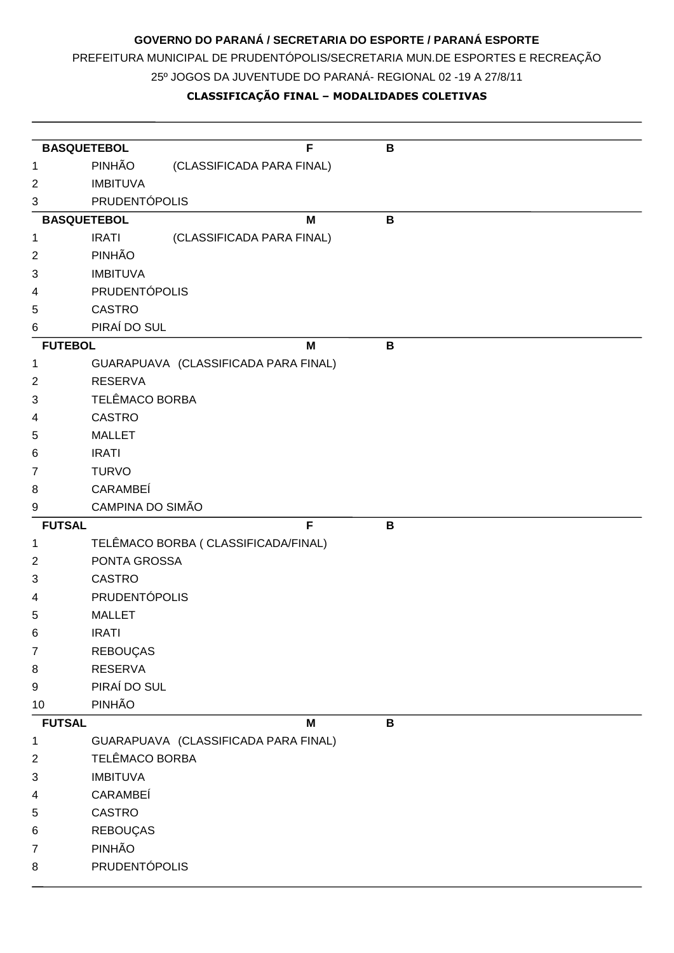## **GOVERNO DO PARANÁ / SECRETARIA DO ESPORTE / PARANÁ ESPORTE**

PREFEITURA MUNICIPAL DE PRUDENTÓPOLIS/SECRETARIA MUN.DE ESPORTES E RECREAÇÃO

25º JOGOS DA JUVENTUDE DO PARANÁ- REGIONAL 02 -19 A 27/8/11

## **CLASSIFICAÇÃO FINAL – MODALIDADES COLETIVAS**

| <b>BASQUETEBOL</b> |                      |                                      | F | B            |
|--------------------|----------------------|--------------------------------------|---|--------------|
| 1                  | PINHÃO               | (CLASSIFICADA PARA FINAL)            |   |              |
| 2                  | <b>IMBITUVA</b>      |                                      |   |              |
| 3                  | <b>PRUDENTÓPOLIS</b> |                                      |   |              |
| <b>BASQUETEBOL</b> |                      |                                      | M | B            |
| 1                  | <b>IRATI</b>         | (CLASSIFICADA PARA FINAL)            |   |              |
| $\overline{2}$     | PINHÃO               |                                      |   |              |
| 3                  | <b>IMBITUVA</b>      |                                      |   |              |
| 4                  | <b>PRUDENTÓPOLIS</b> |                                      |   |              |
| 5                  | <b>CASTRO</b>        |                                      |   |              |
| 6                  | PIRAÍ DO SUL         |                                      |   |              |
| <b>FUTEBOL</b>     |                      |                                      | M | B            |
| 1                  |                      | GUARAPUAVA (CLASSIFICADA PARA FINAL) |   |              |
| 2                  | <b>RESERVA</b>       |                                      |   |              |
| 3                  | TELÊMACO BORBA       |                                      |   |              |
| 4                  | <b>CASTRO</b>        |                                      |   |              |
| 5                  | <b>MALLET</b>        |                                      |   |              |
| 6                  | <b>IRATI</b>         |                                      |   |              |
| 7                  | <b>TURVO</b>         |                                      |   |              |
| 8                  | CARAMBEÍ             |                                      |   |              |
| 9                  | CAMPINA DO SIMÃO     |                                      |   |              |
| <b>FUTSAL</b>      |                      |                                      | F | B            |
| 1                  |                      | TELÊMACO BORBA ( CLASSIFICADA/FINAL) |   |              |
| 2                  | PONTA GROSSA         |                                      |   |              |
| 3                  | <b>CASTRO</b>        |                                      |   |              |
| 4                  | <b>PRUDENTÓPOLIS</b> |                                      |   |              |
| 5                  | <b>MALLET</b>        |                                      |   |              |
| 6                  | <b>IRATI</b>         |                                      |   |              |
| $\overline{7}$     | REBOUÇAS             |                                      |   |              |
| 8                  | <b>RESERVA</b>       |                                      |   |              |
| 9                  | PIRAÍ DO SUL         |                                      |   |              |
| 10                 | PINHÃO               |                                      |   |              |
| <b>FUTSAL</b>      |                      |                                      | M | $\, {\bf B}$ |
| 1                  |                      | GUARAPUAVA (CLASSIFICADA PARA FINAL) |   |              |
| 2                  | TELÊMACO BORBA       |                                      |   |              |
| 3                  | <b>IMBITUVA</b>      |                                      |   |              |
| 4                  | CARAMBEÍ             |                                      |   |              |
| 5                  | <b>CASTRO</b>        |                                      |   |              |
| 6                  | REBOUÇAS             |                                      |   |              |
| 7                  | PINHÃO               |                                      |   |              |
| 8                  | PRUDENTÓPOLIS        |                                      |   |              |
|                    |                      |                                      |   |              |